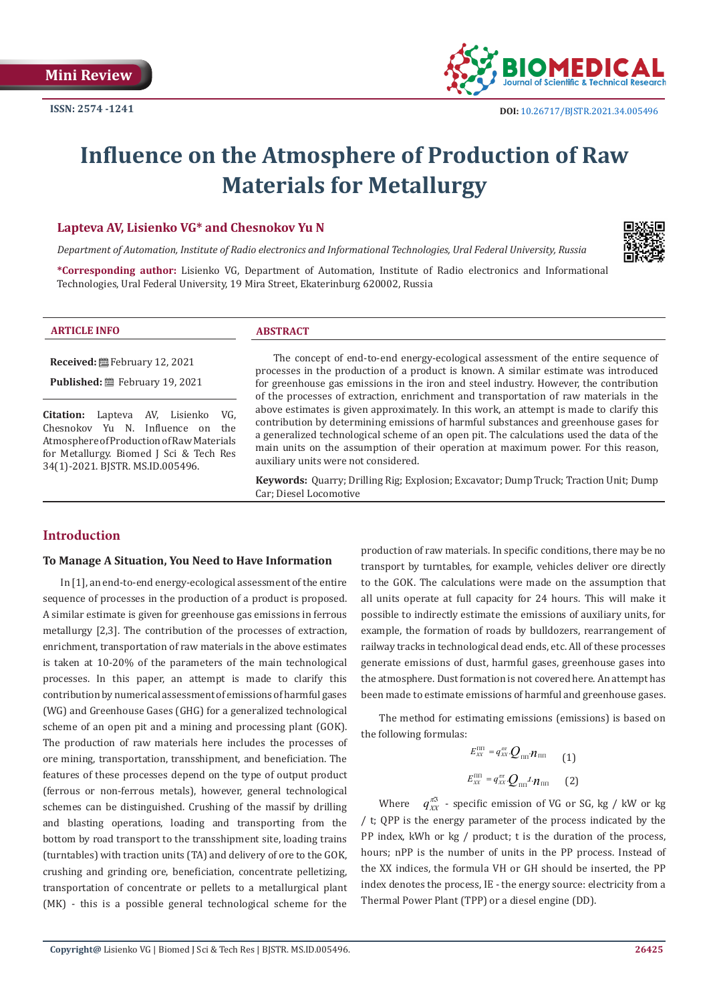

# **Influence on the Atmosphere of Production of Raw Materials for Metallurgy**

#### **Lapteva AV, Lisienko VG\* and Chesnokov Yu N**

*Department of Automation, Institute of Radio electronics and Informational Technologies, Ural Federal University, Russia*



**\*Corresponding author:** Lisienko VG, Department of Automation, Institute of Radio electronics and Informational Technologies, Ural Federal University, 19 Mira Street, Ekaterinburg 620002, Russia

#### **ARTICLE INFO ABSTRACT**

**Received:** February 12, 2021

**Published:** February 19, 2021

**Citation:** Lapteva AV, Lisienko VG, Chesnokov Yu N. Influence on the Atmosphere of Production of Raw Materials for Metallurgy. Biomed J Sci & Tech Res 34(1)-2021. BJSTR. MS.ID.005496.

The concept of end-to-end energy-ecological assessment of the entire sequence of processes in the production of a product is known. A similar estimate was introduced for greenhouse gas emissions in the iron and steel industry. However, the contribution of the processes of extraction, enrichment and transportation of raw materials in the above estimates is given approximately. In this work, an attempt is made to clarify this contribution by determining emissions of harmful substances and greenhouse gases for a generalized technological scheme of an open pit. The calculations used the data of the main units on the assumption of their operation at maximum power. For this reason, auxiliary units were not considered.

**Keywords:** Quarry; Drilling Rig; Explosion; Excavator; Dump Truck; Traction Unit; Dump Car; Diesel Locomotive

# **Introduction**

#### **To Manage A Situation, You Need to Have Information**

In [1], an end-to-end energy-ecological assessment of the entire sequence of processes in the production of a product is proposed. A similar estimate is given for greenhouse gas emissions in ferrous metallurgy [2,3]. The contribution of the processes of extraction, enrichment, transportation of raw materials in the above estimates is taken at 10-20% of the parameters of the main technological processes. In this paper, an attempt is made to clarify this contribution by numerical assessment of emissions of harmful gases (WG) and Greenhouse Gases (GHG) for a generalized technological scheme of an open pit and a mining and processing plant (GOK). The production of raw materials here includes the processes of ore mining, transportation, transshipment, and beneficiation. The features of these processes depend on the type of output product (ferrous or non-ferrous metals), however, general technological schemes can be distinguished. Crushing of the massif by drilling and blasting operations, loading and transporting from the bottom by road transport to the transshipment site, loading trains (turntables) with traction units (TA) and delivery of ore to the GOK, crushing and grinding ore, beneficiation, concentrate pelletizing, transportation of concentrate or pellets to a metallurgical plant (MK) - this is a possible general technological scheme for the

production of raw materials. In specific conditions, there may be no transport by turntables, for example, vehicles deliver ore directly to the GOK. The calculations were made on the assumption that all units operate at full capacity for 24 hours. This will make it possible to indirectly estimate the emissions of auxiliary units, for example, the formation of roads by bulldozers, rearrangement of railway tracks in technological dead ends, etc. All of these processes generate emissions of dust, harmful gases, greenhouse gases into the atmosphere. Dust formation is not covered here. An attempt has been made to estimate emissions of harmful and greenhouse gases.

The method for estimating emissions (emissions) is based on the following formulas:

$$
E_{xx}^{\text{III}} = q_{xx}^{\pi\pi} Q_{\text{III}} \boldsymbol{n}_{\text{III}} \qquad (1)
$$

$$
E_{xx}^{\text{III}} = q_{xx}^{\pi\pi} Q_{\text{III}} \boldsymbol{\cdot} \boldsymbol{n}_{\text{III}} \qquad (2)
$$

Where  $q_{YY}^{\pi 3}$  - specific emission of VG or SG, kg / kW or kg / t; QPP is the energy parameter of the process indicated by the PP index, kWh or kg / product; t is the duration of the process, hours; nPP is the number of units in the PP process. Instead of the XX indices, the formula VH or GH should be inserted, the PP index denotes the process, IE - the energy source: electricity from a Thermal Power Plant (TPP) or a diesel engine (DD).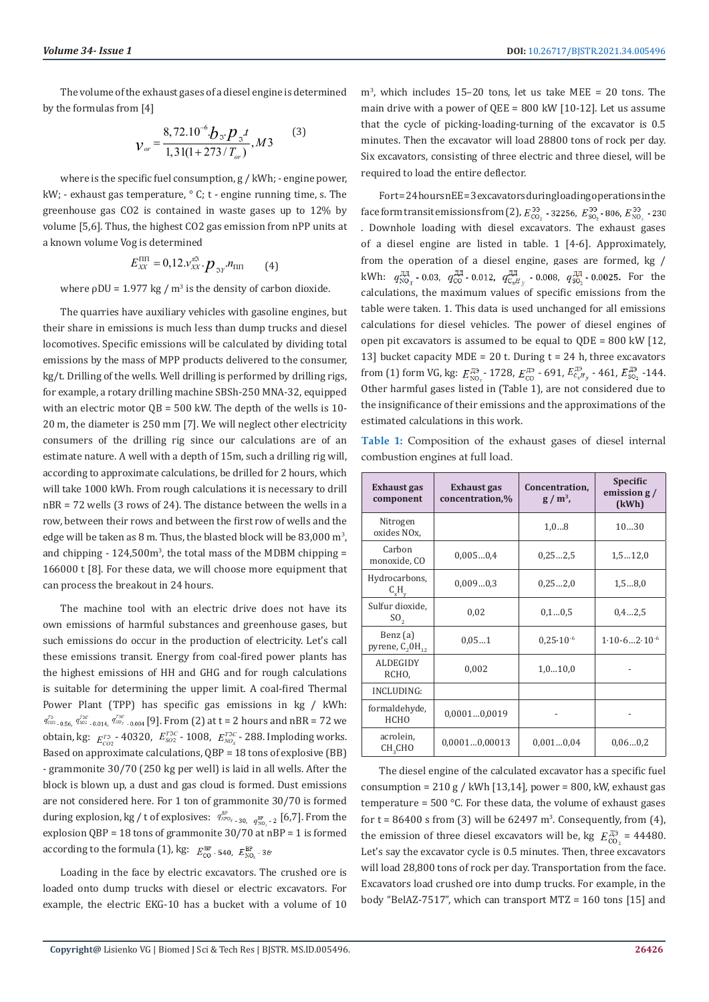The volume of the exhaust gases of a diesel engine is determined by the formulas from [4]

$$
V_{or} = \frac{8,72.10^{-6} \, \text{J}_{\text{S}} \cdot \text{p}_{\text{S}} \cdot t}{1,31(1+273 \, / \, \text{T}_{or})}, M3 \tag{3}
$$

where is the specific fuel consumption, g / kWh; - engine power, kW; - exhaust gas temperature,  $\circ$  C; t - engine running time, s. The greenhouse gas CO2 is contained in waste gases up to 12% by volume [5,6]. Thus, the highest CO2 gas emission from nPP units at a known volume Vog is determined

$$
E_{XX}^{\text{III}} = 0,12.v_{XX}^{\pi 3} \cdot p_{3Y} n_{\text{III}} \qquad (4)
$$

where  $\rho$ DU = 1.977 kg / m<sup>3</sup> is the density of carbon dioxide.

The quarries have auxiliary vehicles with gasoline engines, but their share in emissions is much less than dump trucks and diesel locomotives. Specific emissions will be calculated by dividing total emissions by the mass of MPP products delivered to the consumer, kg/t. Drilling of the wells. Well drilling is performed by drilling rigs, for example, a rotary drilling machine SBSh-250 MNA-32, equipped with an electric motor QB = 500 kW. The depth of the wells is 10- 20 m, the diameter is 250 mm [7]. We will neglect other electricity consumers of the drilling rig since our calculations are of an estimate nature. A well with a depth of 15m, such a drilling rig will, according to approximate calculations, be drilled for 2 hours, which will take 1000 kWh. From rough calculations it is necessary to drill nBR = 72 wells (3 rows of 24). The distance between the wells in a row, between their rows and between the first row of wells and the edge will be taken as  $8$  m. Thus, the blasted block will be  $83,000$  m<sup>3</sup>, and chipping - 124,500m<sup>3</sup>, the total mass of the MDBM chipping = 166000 t [8]. For these data, we will choose more equipment that can process the breakout in 24 hours.

The machine tool with an electric drive does not have its own emissions of harmful substances and greenhouse gases, but such emissions do occur in the production of electricity. Let's call these emissions transit. Energy from coal-fired power plants has the highest emissions of HH and GHG and for rough calculations is suitable for determining the upper limit. A coal-fired Thermal Power Plant (TPP) has specific gas emissions in kg / kWh:  $q_{\text{co}_{2},0.56}^{T_{\text{SC}}}$ ,  $q_{\text{so}_{2},0.014}^{T_{\text{SC}}}$ ,  $q_{\text{no}_{2},0.004}^{T_{\text{SC}}}$  [9]. From (2) at t = 2 hours and nBR = 72 we obtain, kg:  $E_{CO2}^{T3}$  - 40320,  $E_{SO2}^{T3C}$  - 1008,  $E_{NOx}^{T3C}$  - 288. Imploding works. Based on approximate calculations, QBP = 18 tons of explosive (BB) - grammonite 30/70 (250 kg per well) is laid in all wells. After the block is blown up, a dust and gas cloud is formed. Dust emissions are not considered here. For 1 ton of grammonite 30/70 is formed during explosion, kg / t of explosives:  $q_{NPOx-30,-q_{NLO-2}}^{BP}$  [6,7]. From the explosion QВР = 18 tons of grammonite 30/70 at nВР = 1 is formed according to the formula (1), kg:  $E_{\text{co}}^{\text{BP}}$ -540,  $E_{\text{NO}}^{\text{BP}}$ -36

Loading in the face by electric excavators. The crushed ore is loaded onto dump trucks with diesel or electric excavators. For example, the electric EKG-10 has a bucket with a volume of 10 m<sup>3</sup> , which includes 15–20 tons, let us take MEE = 20 tons. The main drive with a power of QEE = 800 kW [10-12]. Let us assume that the cycle of picking-loading-turning of the excavator is 0.5 minutes. Then the excavator will load 28800 tons of rock per day. Six excavators, consisting of three electric and three diesel, will be required to load the entire deflector.

Fort=24 hours nEE=3 excavators during loading operations in the face form transit emissions from (2),  $E_{\text{CO}_2}^{33}$  - 32256,  $E_{\text{SO}_2}^{33}$  - 806,  $E_{\text{NO}_2}^{33}$  - 230 . Downhole loading with diesel excavators. The exhaust gases of a diesel engine are listed in table. 1 [4-6]. Approximately, from the operation of a diesel engine, gases are formed, kg / kWh:  $q_{\text{NO}_x}^{\text{AA}}$  - 0.03,  $q_{\text{CO}}^{\text{AA}}$  - 0.012,  $q_{\text{C}_xH_y}^{\text{AA}}$  - 0.008,  $q_{\text{SO}_2}^{\text{AA}}$  - 0.0025. For the calculations, the maximum values of specific emissions from the table were taken. 1. This data is used unchanged for all emissions calculations for diesel vehicles. The power of diesel engines of open pit excavators is assumed to be equal to QDE = 800 kW [12, 13] bucket capacity MDE = 20 t. During  $t = 24$  h, three excavators from (1) form VG, kg:  $E_{\rm NO_2}^{\rm I\!B2}$  - 1728,  $E_{\rm CO}^{\rm I\!B3}$  - 691,  $E_{\rm C_x\mu_y}^{\rm I\!B3}$  - 461,  $E_{\rm SO_2}^{\rm I\!B3}$  -144. Other harmful gases listed in (Table 1), are not considered due to the insignificance of their emissions and the approximations of the estimated calculations in this work.

**Table 1:** Composition of the exhaust gases of diesel internal combustion engines at full load.

| Exhaust gas<br>component             | <b>Exhaust gas</b><br>concentration,% | Concentration,<br>$g/m^3$ , | <b>Specific</b><br>emission $g/$<br>(kWh) |  |
|--------------------------------------|---------------------------------------|-----------------------------|-------------------------------------------|--|
| Nitrogen<br>oxides NO <sub>x</sub> , |                                       | 1,08                        | 1030                                      |  |
| Carbon<br>monoxide, CO               | 0,0050,4                              | 0,252,5                     | 1, 512, 0                                 |  |
| Hydrocarbons,<br>$C_xH_v$            | 0,0090,3                              | 0,252,0                     | 1, 58, 0                                  |  |
| Sulfur dioxide,<br>SO <sub>2</sub>   | 0,02                                  | 0, 10, 5                    | 0.42.5                                    |  |
| Benz (a)<br>pyrene, $C_2OH_{12}$     | 0.051                                 | $0.25 \cdot 10^{-6}$        | $1.10 - 6 \dots 2.10^{-6}$                |  |
| <b>ALDEGIDY</b><br>RCHO.             | 0,002                                 | 1,010,0                     |                                           |  |
| INCLUDING:                           |                                       |                             |                                           |  |
| formaldehyde,<br><b>HCHO</b>         | 0,00010,0019                          |                             |                                           |  |
| acrolein,<br>CH <sub>2</sub> CHO     | 0,00010,00013                         | 0,0010,04                   | 0.060.2                                   |  |

The diesel engine of the calculated excavator has a specific fuel consumption =  $210 g / kWh$  [13,14], power = 800, kW, exhaust gas temperature =  $500$  °C. For these data, the volume of exhaust gases for  $t = 86400$  s from (3) will be  $62497$  m<sup>3</sup>. Consequently, from (4), the emission of three diesel excavators will be, kg  $E_{\text{co}_2}^{\text{I3}}$  = 44480. Let's say the excavator cycle is 0.5 minutes. Then, three excavators will load 28,800 tons of rock per day. Transportation from the face. Excavators load crushed ore into dump trucks. For example, in the body "BelAZ-7517", which can transport MTZ = 160 tons [15] and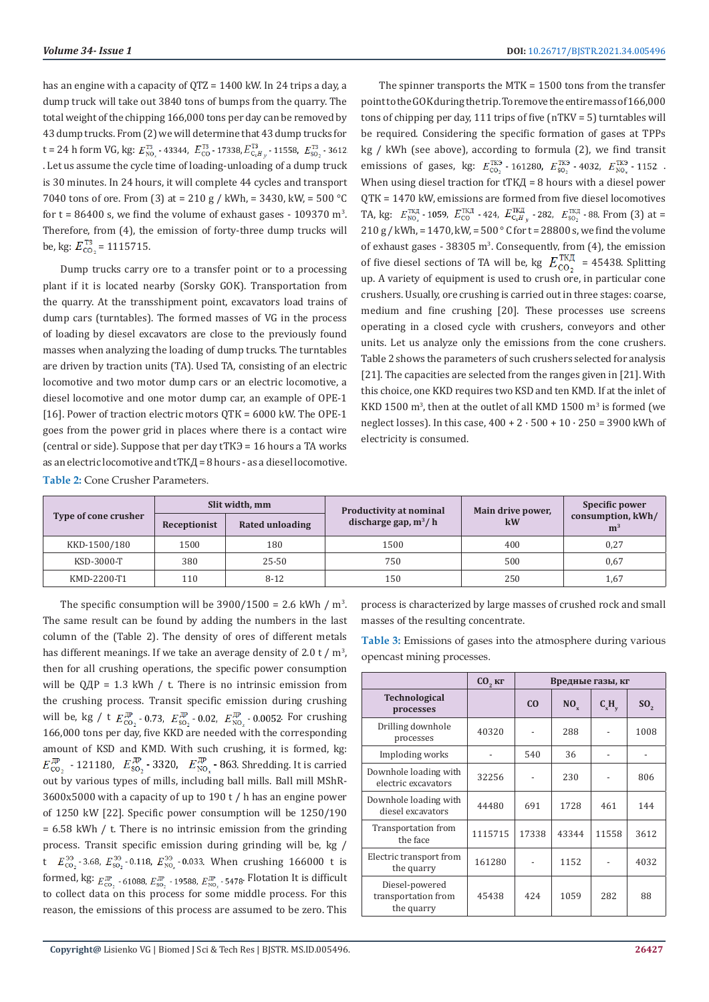has an engine with a capacity of QTZ = 1400 kW. In 24 trips a day, a dump truck will take out 3840 tons of bumps from the quarry. The total weight of the chipping 166,000 tons per day can be removed by 43 dump trucks. From (2) we will determine that 43 dump trucks for t = 24 h form VG, kg:  $E_{\text{NO}}^{T3}$  - 43344,  $E_{\text{CO}}^{T3}$  - 17338,  $E_{\text{C,H}}^{T3}$  - 11558,  $E_{\text{SO}}^{T3}$  - 3612. . Let us assume the cycle time of loading-unloading of a dump truck is 30 minutes. In 24 hours, it will complete 44 cycles and transport 7040 tons of ore. From (3) at = 210 g / kWh, = 3430, kW, = 500 °C for  $t = 86400$  s, we find the volume of exhaust gases - 109370 m<sup>3</sup>. Therefore, from (4), the emission of forty-three dump trucks will be, kg:  $E_{\text{CO}_2}^{\text{T3}}$  = 1115715.

Dump trucks carry ore to a transfer point or to a processing plant if it is located nearby (Sorsky GOK). Transportation from the quarry. At the transshipment point, excavators load trains of dump cars (turntables). The formed masses of VG in the process of loading by diesel excavators are close to the previously found masses when analyzing the loading of dump trucks. The turntables are driven by traction units (TA). Used TA, consisting of an electric locomotive and two motor dump cars or an electric locomotive, a diesel locomotive and one motor dump car, an example of OPE-1 [16]. Power of traction electric motors QТК = 6000 kW. The OPE-1 goes from the power grid in places where there is a contact wire (central or side). Suppose that per day tТКЭ = 16 hours a TA works as an electric locomotive and tТКД = 8 hours - as a diesel locomotive. **Table 2:** Cone Crusher Parameters.

The spinner transports the MTK = 1500 tons from the transfer point to the GOK during the trip. To remove the entire mass of 166,000 tons of chipping per day, 111 trips of five (nTKV = 5) turntables will be required. Considering the specific formation of gases at TPPs kg / kWh (see above), according to formula (2), we find transit emissions of gases, kg:  $E_{\text{CO}_2}^{T\text{K3}}$  - 161280,  $E_{\text{SO}_2}^{T\text{K3}}$  - 4032,  $E_{\text{NO}_3}^{T\text{K3}}$  - 1152. When using diesel traction for tТКД = 8 hours with a diesel power QТК = 1470 kW, emissions are formed from five diesel locomotives TA, kg:  $E_{\text{NO}_2}^{\text{TK},\text{I}}$  - 1059,  $E_{\text{CO}}^{\text{TK},\text{I}}$  - 424,  $E_{\text{C}_xH_y}^{\text{TK},\text{I}}$  - 282,  $E_{\text{SO}_2}^{\text{TK},\text{I}}$  - 88. From (3) at =  $210 g$  / kWh, = 1470, kW, =  $500^{\circ}$  C for t = 28800 s, we find the volume of exhaust gases -  $38305 \text{ m}^3$ . Consequently, from (4), the emission of five diesel sections of TA will be, kg  $E_{\text{CO}_2}^{\text{TKA}}$  = 45438. Splitting up. A variety of equipment is used to crush ore, in particular cone crushers. Usually, ore crushing is carried out in three stages: coarse, medium and fine crushing [20]. These processes use screens operating in a closed cycle with crushers, conveyors and other units. Let us analyze only the emissions from the cone crushers. Table 2 shows the parameters of such crushers selected for analysis [21]. The capacities are selected from the ranges given in [21]. With this choice, one KKD requires two KSD and ten KMD. If at the inlet of KKD 1500  $\text{m}^3$ , then at the outlet of all KMD 1500  $\text{m}^3$  is formed (we neglect losses). In this case,  $400 + 2 \cdot 500 + 10 \cdot 250 = 3900$  kWh of electricity is consumed.

|                      | Slit width, mm |                 | <b>Productivity at nominal</b> | Main drive power, | Specific power                      |  |
|----------------------|----------------|-----------------|--------------------------------|-------------------|-------------------------------------|--|
| Type of cone crusher | Receptionist   | Rated unloading | discharge gap, $m^3/h$         | kW                | consumption, kWh/<br>m <sup>3</sup> |  |
| KKD-1500/180         | 1500           | 180             | 1500                           | 400               | 0,27                                |  |
| KSD-3000-T           | 380            | $25 - 50$       | 750                            | 500               | 0.67                                |  |
| KMD-2200-T1          | 110            | $8 - 12$        | 150                            | 250               | 1,67                                |  |

The specific consumption will be  $3900/1500 = 2.6$  kWh / m<sup>3</sup>. The same result can be found by adding the numbers in the last column of the (Table 2). The density of ores of different metals has different meanings. If we take an average density of 2.0 t /  $m<sup>3</sup>$ , then for all crushing operations, the specific power consumption will be  $O$ ДР = 1.3 kWh / t. There is no intrinsic emission from the crushing process. Transit specific emission during crushing will be, kg / t  $E_{\text{co}_2}^{\text{IP}}$  - 0.73,  $E_{\text{so}_2}^{\text{IP}}$  - 0.02,  $E_{\text{NO}_2}^{\text{IP}}$  - 0.0052. For crushing 166,000 tons per day, five KKD are needed with the corresponding amount of KSD and KMD. With such crushing, it is formed, kg: - 121180,  $E_{SO_2}^{\rightarrow}$  - 3320,  $E_{NO_x}^{\rightarrow}$  - 863. Shredding. It is carried out by various types of mills, including ball mills. Ball mill MShR-3600x5000 with a capacity of up to 190 t / h has an engine power of 1250 kW [22]. Specific power consumption will be 1250/190 = 6.58 kWh / t. There is no intrinsic emission from the grinding process. Transit specific emission during grinding will be, kg / t  $E_{\text{co}}^{39}$  - 3.68,  $E_{\text{so}}^{39}$  - 0.118,  $E_{\text{NO}}^{39}$  - 0.033. When crushing 166000 t is formed, kg:  $E_{\text{co}_2}^{\text{IP}}$  - 61088,  $E_{\text{so}_2}^{\text{IP}}$  - 19588,  $E_{\text{NO}_2}^{\text{IP}}$  - 5478. Flotation It is difficult to collect data on this process for some middle process. For this reason, the emissions of this process are assumed to be zero. This

process is characterized by large masses of crushed rock and small masses of the resulting concentrate.

**Table 3:** Emissions of gases into the atmosphere during various opencast mining processes.

|                                                     | $CO2$ кг | Вредные газы, кг |                 |          |                 |
|-----------------------------------------------------|----------|------------------|-----------------|----------|-----------------|
| <b>Technological</b><br>processes                   |          | C <sub>0</sub>   | NO <sub>x</sub> | $C_xH_v$ | SO <sub>2</sub> |
| Drilling downhole<br>processes                      | 40320    |                  | 288             |          | 1008            |
| Imploding works                                     |          | 540              | 36              |          |                 |
| Downhole loading with<br>electric excavators        | 32256    |                  | 230             |          | 806             |
| Downhole loading with<br>diesel excavators          | 44480    | 691              | 1728            | 461      | 144             |
| <b>Transportation</b> from<br>the face              | 1115715  | 17338            | 43344           | 11558    | 3612            |
| Electric transport from<br>the quarry               | 161280   |                  | 1152            |          | 4032            |
| Diesel-powered<br>transportation from<br>the quarry | 45438    | 42.4             | 1059            | 282      | 88              |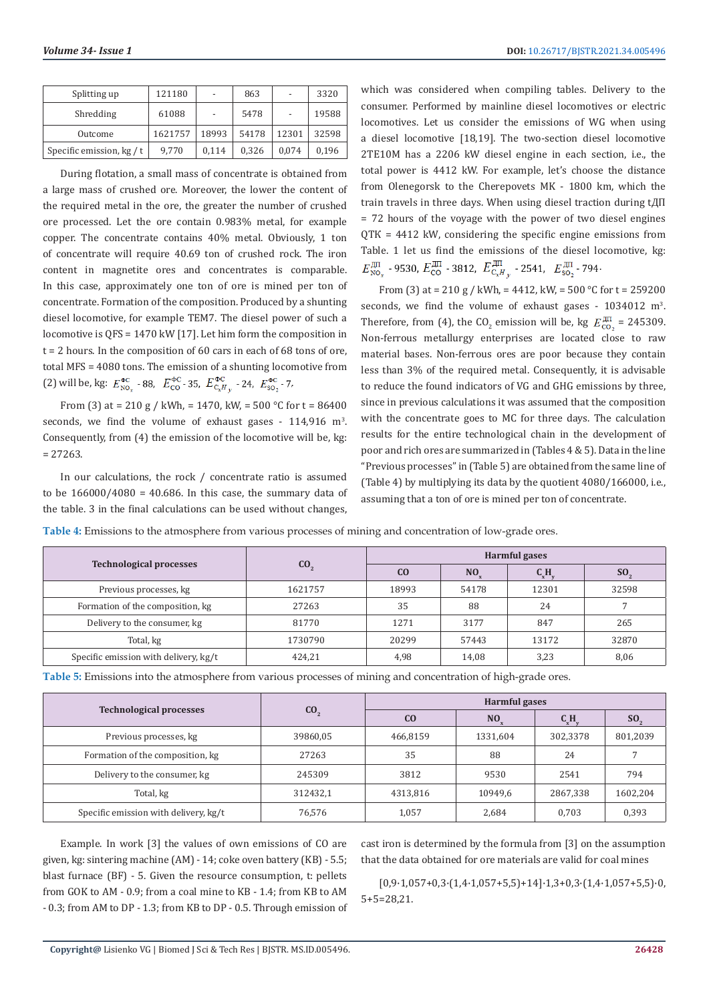| Splitting up                | 121180  | $\overline{\phantom{0}}$ | 863   | $\overline{\phantom{a}}$ | 3320  |
|-----------------------------|---------|--------------------------|-------|--------------------------|-------|
| Shredding                   | 61088   |                          | 5478  |                          | 19588 |
| Outcome                     | 1621757 | 18993                    | 54178 | 12301                    | 32598 |
| Specific emission, $kg / t$ | 9.770   | 0,114                    | 0,326 | 0.074                    | 0,196 |

During flotation, a small mass of concentrate is obtained from a large mass of crushed ore. Moreover, the lower the content of the required metal in the ore, the greater the number of crushed ore processed. Let the ore contain 0.983% metal, for example copper. The concentrate contains 40% metal. Obviously, 1 ton of concentrate will require 40.69 ton of crushed rock. The iron content in magnetite ores and concentrates is comparable. In this case, approximately one ton of ore is mined per ton of concentrate. Formation of the composition. Produced by a shunting diesel locomotive, for example TEM7. The diesel power of such a locomotive is QFS = 1470 kW [17]. Let him form the composition in  $t = 2$  hours. In the composition of 60 cars in each of 68 tons of ore, total MFS = 4080 tons. The emission of a shunting locomotive from (2) will be, kg:  $E_{\text{NO}}^{\Phi C}$  - 88,  $E_{\text{CO}}^{\Phi C}$  - 35,  $E_{\text{C,H}}^{\Phi C}$  - 24,  $E_{\text{SO}}^{\Phi C}$  - 7.

From (3) at = 210 g / kWh, = 1470, kW, = 500 °C for t = 86400 seconds, we find the volume of exhaust gases  $-114,916$  m<sup>3</sup>. Consequently, from (4) the emission of the locomotive will be, kg:  $= 27263.$ 

In our calculations, the rock / concentrate ratio is assumed to be  $166000/4080 = 40.686$ . In this case, the summary data of the table. 3 in the final calculations can be used without changes,

which was considered when compiling tables. Delivery to the consumer. Performed by mainline diesel locomotives or electric locomotives. Let us consider the emissions of WG when using a diesel locomotive [18,19]. The two-section diesel locomotive 2TE10M has a 2206 kW diesel engine in each section, i.e., the total power is 4412 kW. For example, let's choose the distance from Olenegorsk to the Cherepovets MK - 1800 km, which the train travels in three days. When using diesel traction during tДП = 72 hours of the voyage with the power of two diesel engines QТК = 4412 kW, considering the specific engine emissions from Table. 1 let us find the emissions of the diesel locomotive, kg:  $E_{\rm NO}^{\rm \,III}$  - 9530,  $E_{\rm CO}^{\rm \,III}$  - 3812,  $E_{\rm C_8H_{\rm \,v}}^{\rm \,III}$  - 2541,  $E_{\rm SO_2}^{\rm \,III}$  - 794.

From (3) at = 210 g / kWh, = 4412, kW, = 500 °C for t = 259200 seconds, we find the volume of exhaust gases -  $1034012 \text{ m}^3$ . Therefore, from (4), the CO<sub>2</sub> emission will be, kg  $E_{\text{CO}_2}^{\text{max}}$  = 245309. Non-ferrous metallurgy enterprises are located close to raw material bases. Non-ferrous ores are poor because they contain less than 3% of the required metal. Consequently, it is advisable to reduce the found indicators of VG and GHG emissions by three, since in previous calculations it was assumed that the composition with the concentrate goes to MC for three days. The calculation results for the entire technological chain in the development of poor and rich ores are summarized in (Tables 4 & 5). Data in the line "Previous processes" in (Table 5) are obtained from the same line of (Table 4) by multiplying its data by the quotient 4080/166000, i.e., assuming that a ton of ore is mined per ton of concentrate.

**Table 4:** Emissions to the atmosphere from various processes of mining and concentration of low-grade ores.

|                                       |                 | Harmful gases  |                 |        |                 |  |
|---------------------------------------|-----------------|----------------|-----------------|--------|-----------------|--|
| <b>Technological processes</b>        | CO <sub>2</sub> | C <sub>O</sub> | NO <sub>x</sub> | $C_xH$ | SO <sub>2</sub> |  |
| Previous processes, kg                | 1621757         | 18993          | 54178           | 12301  | 32598           |  |
| Formation of the composition, kg      | 27263           | 35             | 88              | 24     |                 |  |
| Delivery to the consumer, kg          | 81770           | 1271           | 3177            | 847    | 265             |  |
| Total, kg                             | 1730790         | 20299          | 57443           | 13172  | 32870           |  |
| Specific emission with delivery, kg/t | 424,21          | 4,98           | 14,08           | 3,23   | 8,06            |  |

**Table 5:** Emissions into the atmosphere from various processes of mining and concentration of high-grade ores.

|                                       | CO <sub>2</sub> | <b>Harmful gases</b> |                 |          |          |
|---------------------------------------|-----------------|----------------------|-----------------|----------|----------|
| <b>Technological processes</b>        |                 | C <sub>0</sub>       | NO <sub>v</sub> | C,H,     | SO.      |
| Previous processes, kg                | 39860,05        | 466,8159             | 1331,604        | 302,3378 | 801,2039 |
| Formation of the composition, kg      | 27263           | 35                   | 88              | 24       |          |
| Delivery to the consumer, kg          | 245309          | 3812                 | 9530            | 2541     | 794      |
| Total, kg                             | 312432,1        | 4313,816             | 10949,6         | 2867,338 | 1602,204 |
| Specific emission with delivery, kg/t | 76,576          | 1,057                | 2,684           | 0,703    | 0,393    |

Example. In work [3] the values of own emissions of CO are given, kg: sintering machine (AM) - 14; coke oven battery (KB) - 5.5; blast furnace (BF) - 5. Given the resource consumption, t: pellets from GOK to AM - 0.9; from a coal mine to KB - 1.4; from KB to AM - 0.3; from AM to DP - 1.3; from KB to DP - 0.5. Through emission of cast iron is determined by the formula from [3] on the assumption that the data obtained for ore materials are valid for coal mines

 $[0,9.1,057+0,3.1,4.1,057+5,5]+14$ ].  $1,3+0,3.1,4.1,057+5,5$ ]. 0, 5+5=28,21.